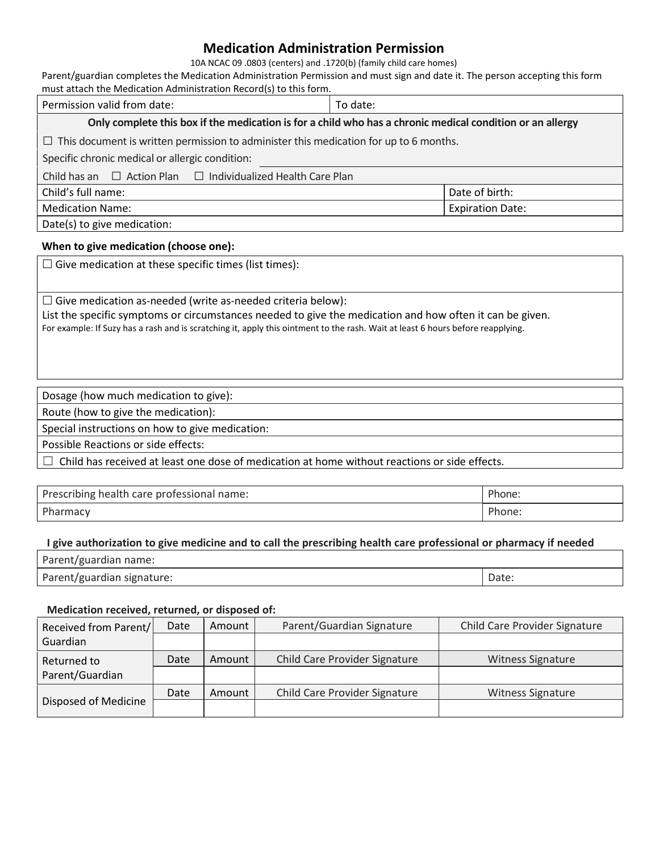# **Medication Administration Permission**

10A NCAC 09 .0803 (centers) and .1720(b) (family child care homes)

Parent/guardian completes the Medication Administration Permission and must sign and date it. The person accepting this form must attach the Medication Administration Record(s) to this form.

| Permission valid from date:                                                                                     | To date:                |  |  |  |  |  |  |
|-----------------------------------------------------------------------------------------------------------------|-------------------------|--|--|--|--|--|--|
| Only complete this box if the medication is for a child who has a chronic medical condition or an allergy       |                         |  |  |  |  |  |  |
| $\Box$ This document is written permission to administer this medication for up to 6 months.                    |                         |  |  |  |  |  |  |
| Specific chronic medical or allergic condition:                                                                 |                         |  |  |  |  |  |  |
| Child has an $\Box$ Action Plan $\Box$ Individualized Health Care Plan                                          |                         |  |  |  |  |  |  |
| Child's full name:                                                                                              | Date of birth:          |  |  |  |  |  |  |
| <b>Medication Name:</b>                                                                                         | <b>Expiration Date:</b> |  |  |  |  |  |  |
| the contract of the contract of the contract of the contract of the contract of the contract of the contract of |                         |  |  |  |  |  |  |

Date(s) to give medication:

### **When to give medication (choose one):**

 $\square$  Give medication at these specific times (list times):

 $\square$  Give medication as-needed (write as-needed criteria below):

List the specific symptoms or circumstances needed to give the medication and how often it can be given. For example: If Suzy has a rash and is scratching it, apply this ointment to the rash. Wait at least 6 hours before reapplying.

### Dosage (how much medication to give):

Route (how to give the medication):

Special instructions on how to give medication:

Possible Reactions or side effects:

 $\Box$  Child has received at least one dose of medication at home without reactions or side effects.

| Prescribing health care professional name: | Phone. |
|--------------------------------------------|--------|
| Pharmacy                                   | Phone: |

#### **I give authorization to give medicine and to call the prescribing health care professional or pharmacy if needed**

| Parent/guardian name:      |       |
|----------------------------|-------|
| Parent/guardian signature: | Date: |

#### **Medication received, returned, or disposed of:**

| Received from Parent/ | Date | Amount | Parent/Guardian Signature<br>Child Care Provider Signature |                          |
|-----------------------|------|--------|------------------------------------------------------------|--------------------------|
| Guardian              |      |        |                                                            |                          |
| Returned to           | Date | Amount | Child Care Provider Signature                              | <b>Witness Signature</b> |
| Parent/Guardian       |      |        |                                                            |                          |
|                       | Date | Amount | Child Care Provider Signature                              | <b>Witness Signature</b> |
| Disposed of Medicine  |      |        |                                                            |                          |